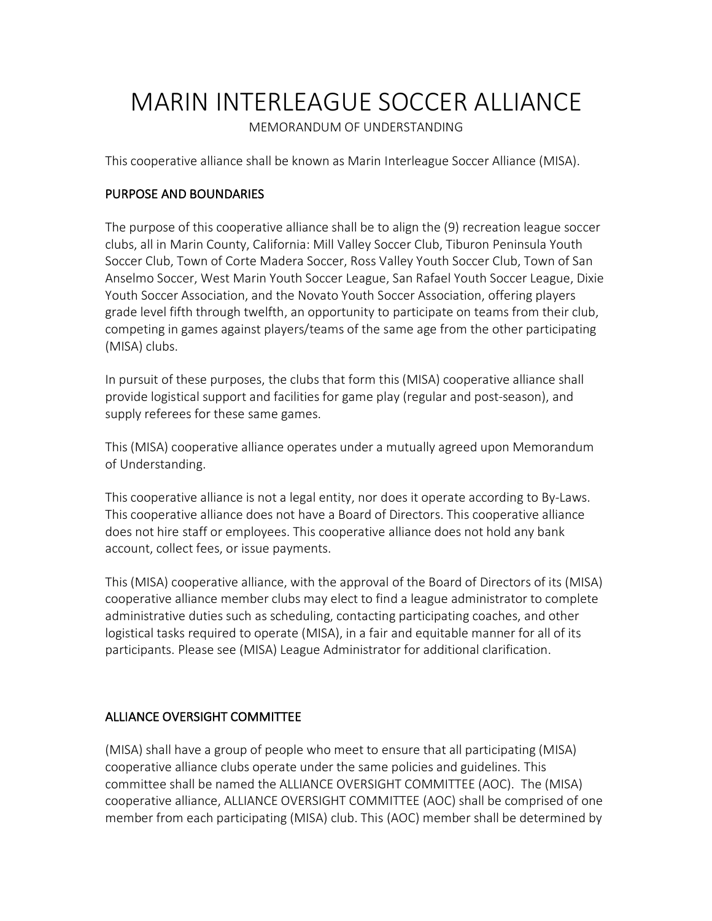# MARIN INTERLEAGUE SOCCER ALLIANCE

MEMORANDUM OF UNDERSTANDING

This cooperative alliance shall be known as Marin Interleague Soccer Alliance (MISA).

## PURPOSE AND BOUNDARIES

The purpose of this cooperative alliance shall be to align the (9) recreation league soccer clubs, all in Marin County, California: Mill Valley Soccer Club, Tiburon Peninsula Youth Soccer Club, Town of Corte Madera Soccer, Ross Valley Youth Soccer Club, Town of San Anselmo Soccer, West Marin Youth Soccer League, San Rafael Youth Soccer League, Dixie Youth Soccer Association, and the Novato Youth Soccer Association, offering players grade level fifth through twelfth, an opportunity to participate on teams from their club, competing in games against players/teams of the same age from the other participating (MISA) clubs.

In pursuit of these purposes, the clubs that form this (MISA) cooperative alliance shall provide logistical support and facilities for game play (regular and post-season), and supply referees for these same games.

This (MISA) cooperative alliance operates under a mutually agreed upon Memorandum of Understanding.

This cooperative alliance is not a legal entity, nor does it operate according to By-Laws. This cooperative alliance does not have a Board of Directors. This cooperative alliance does not hire staff or employees. This cooperative alliance does not hold any bank account, collect fees, or issue payments.

This (MISA) cooperative alliance, with the approval of the Board of Directors of its (MISA) cooperative alliance member clubs may elect to find a league administrator to complete administrative duties such as scheduling, contacting participating coaches, and other logistical tasks required to operate (MISA), in a fair and equitable manner for all of its participants. Please see (MISA) League Administrator for additional clarification.

## ALLIANCE OVERSIGHT COMMITTEE

(MISA) shall have a group of people who meet to ensure that all participating (MISA) cooperative alliance clubs operate under the same policies and guidelines. This committee shall be named the ALLIANCE OVERSIGHT COMMITTEE (AOC). The (MISA) cooperative alliance, ALLIANCE OVERSIGHT COMMITTEE (AOC) shall be comprised of one member from each participating (MISA) club. This (AOC) member shall be determined by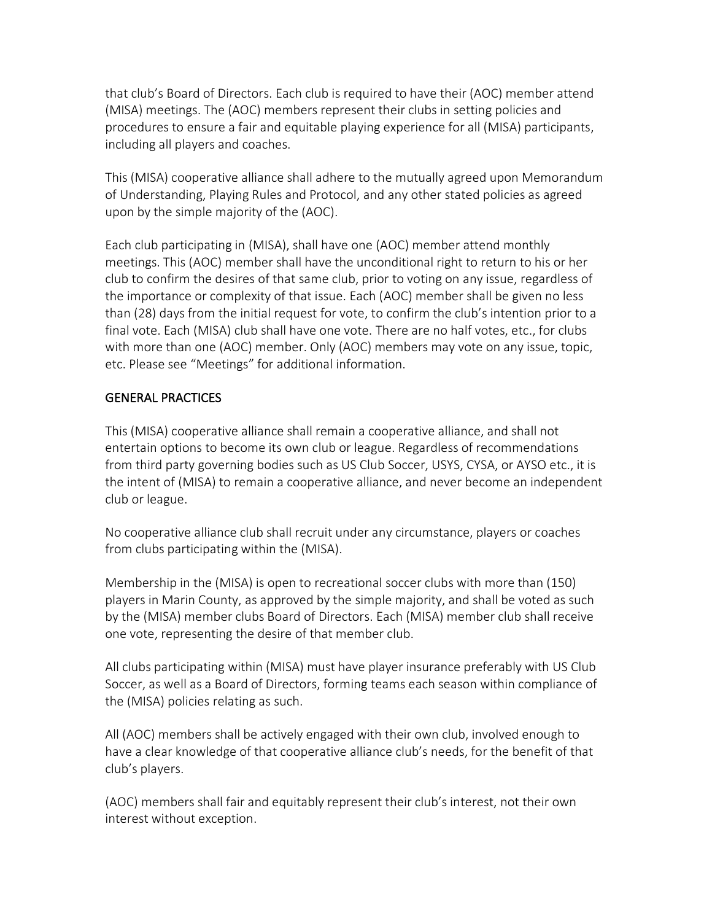that club's Board of Directors. Each club is required to have their (AOC) member attend (MISA) meetings. The (AOC) members represent their clubs in setting policies and procedures to ensure a fair and equitable playing experience for all (MISA) participants, including all players and coaches.

This (MISA) cooperative alliance shall adhere to the mutually agreed upon Memorandum of Understanding, Playing Rules and Protocol, and any other stated policies as agreed upon by the simple majority of the (AOC).

Each club participating in (MISA), shall have one (AOC) member attend monthly meetings. This (AOC) member shall have the unconditional right to return to his or her club to confirm the desires of that same club, prior to voting on any issue, regardless of the importance or complexity of that issue. Each (AOC) member shall be given no less than (28) days from the initial request for vote, to confirm the club's intention prior to a final vote. Each (MISA) club shall have one vote. There are no half votes, etc., for clubs with more than one (AOC) member. Only (AOC) members may vote on any issue, topic, etc. Please see "Meetings" for additional information.

## GENERAL PRACTICES

This (MISA) cooperative alliance shall remain a cooperative alliance, and shall not entertain options to become its own club or league. Regardless of recommendations from third party governing bodies such as US Club Soccer, USYS, CYSA, or AYSO etc., it is the intent of (MISA) to remain a cooperative alliance, and never become an independent club or league.

No cooperative alliance club shall recruit under any circumstance, players or coaches from clubs participating within the (MISA).

Membership in the (MISA) is open to recreational soccer clubs with more than (150) players in Marin County, as approved by the simple majority, and shall be voted as such by the (MISA) member clubs Board of Directors. Each (MISA) member club shall receive one vote, representing the desire of that member club.

All clubs participating within (MISA) must have player insurance preferably with US Club Soccer, as well as a Board of Directors, forming teams each season within compliance of the (MISA) policies relating as such.

All (AOC) members shall be actively engaged with their own club, involved enough to have a clear knowledge of that cooperative alliance club's needs, for the benefit of that club's players.

(AOC) members shall fair and equitably represent their club's interest, not their own interest without exception.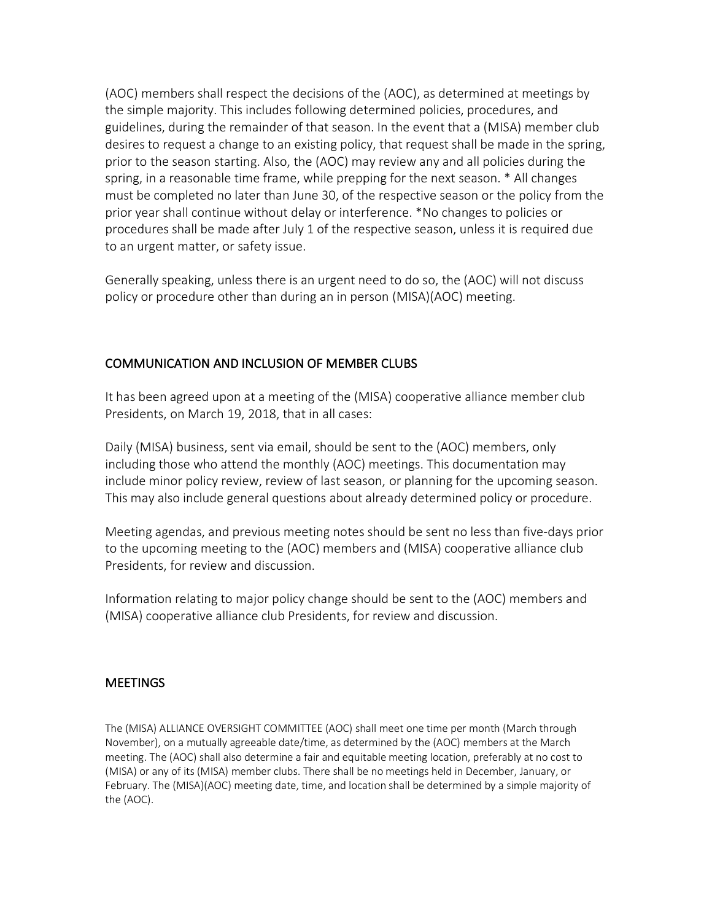(AOC) members shall respect the decisions of the (AOC), as determined at meetings by the simple majority. This includes following determined policies, procedures, and guidelines, during the remainder of that season. In the event that a (MISA) member club desires to request a change to an existing policy, that request shall be made in the spring, prior to the season starting. Also, the (AOC) may review any and all policies during the spring, in a reasonable time frame, while prepping for the next season. \* All changes must be completed no later than June 30, of the respective season or the policy from the prior year shall continue without delay or interference. \*No changes to policies or procedures shall be made after July 1 of the respective season, unless it is required due to an urgent matter, or safety issue.

Generally speaking, unless there is an urgent need to do so, the (AOC) will not discuss policy or procedure other than during an in person (MISA)(AOC) meeting.

## COMMUNICATION AND INCLUSION OF MEMBER CLUBS

It has been agreed upon at a meeting of the (MISA) cooperative alliance member club Presidents, on March 19, 2018, that in all cases:

Daily (MISA) business, sent via email, should be sent to the (AOC) members, only including those who attend the monthly (AOC) meetings. This documentation may include minor policy review, review of last season, or planning for the upcoming season. This may also include general questions about already determined policy or procedure.

Meeting agendas, and previous meeting notes should be sent no less than five-days prior to the upcoming meeting to the (AOC) members and (MISA) cooperative alliance club Presidents, for review and discussion.

Information relating to major policy change should be sent to the (AOC) members and (MISA) cooperative alliance club Presidents, for review and discussion.

### **MEETINGS**

The (MISA) ALLIANCE OVERSIGHT COMMITTEE (AOC) shall meet one time per month (March through November), on a mutually agreeable date/time, as determined by the (AOC) members at the March meeting. The (AOC) shall also determine a fair and equitable meeting location, preferably at no cost to (MISA) or any of its (MISA) member clubs. There shall be no meetings held in December, January, or February. The (MISA)(AOC) meeting date, time, and location shall be determined by a simple majority of the (AOC).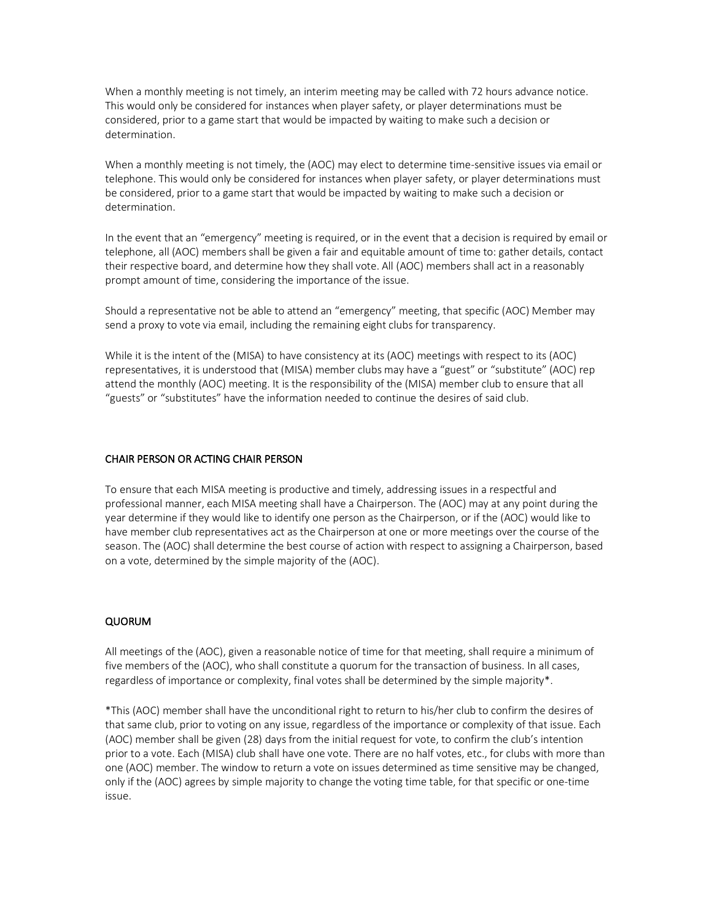When a monthly meeting is not timely, an interim meeting may be called with 72 hours advance notice. This would only be considered for instances when player safety, or player determinations must be considered, prior to a game start that would be impacted by waiting to make such a decision or determination.

When a monthly meeting is not timely, the (AOC) may elect to determine time-sensitive issues via email or telephone. This would only be considered for instances when player safety, or player determinations must be considered, prior to a game start that would be impacted by waiting to make such a decision or determination.

In the event that an "emergency" meeting is required, or in the event that a decision is required by email or telephone, all (AOC) members shall be given a fair and equitable amount of time to: gather details, contact their respective board, and determine how they shall vote. All (AOC) members shall act in a reasonably prompt amount of time, considering the importance of the issue.

Should a representative not be able to attend an "emergency" meeting, that specific (AOC) Member may send a proxy to vote via email, including the remaining eight clubs for transparency.

While it is the intent of the (MISA) to have consistency at its (AOC) meetings with respect to its (AOC) representatives, it is understood that (MISA) member clubs may have a "guest" or "substitute" (AOC) rep attend the monthly (AOC) meeting. It is the responsibility of the (MISA) member club to ensure that all "guests" or "substitutes" have the information needed to continue the desires of said club.

#### CHAIR PERSON OR ACTING CHAIR PERSON

To ensure that each MISA meeting is productive and timely, addressing issues in a respectful and professional manner, each MISA meeting shall have a Chairperson. The (AOC) may at any point during the year determine if they would like to identify one person as the Chairperson, or if the (AOC) would like to have member club representatives act as the Chairperson at one or more meetings over the course of the season. The (AOC) shall determine the best course of action with respect to assigning a Chairperson, based on a vote, determined by the simple majority of the (AOC).

#### QUORUM

All meetings of the (AOC), given a reasonable notice of time for that meeting, shall require a minimum of five members of the (AOC), who shall constitute a quorum for the transaction of business. In all cases, regardless of importance or complexity, final votes shall be determined by the simple majority\*.

\*This (AOC) member shall have the unconditional right to return to his/her club to confirm the desires of that same club, prior to voting on any issue, regardless of the importance or complexity of that issue. Each (AOC) member shall be given (28) days from the initial request for vote, to confirm the club's intention prior to a vote. Each (MISA) club shall have one vote. There are no half votes, etc., for clubs with more than one (AOC) member. The window to return a vote on issues determined as time sensitive may be changed, only if the (AOC) agrees by simple majority to change the voting time table, for that specific or one-time issue.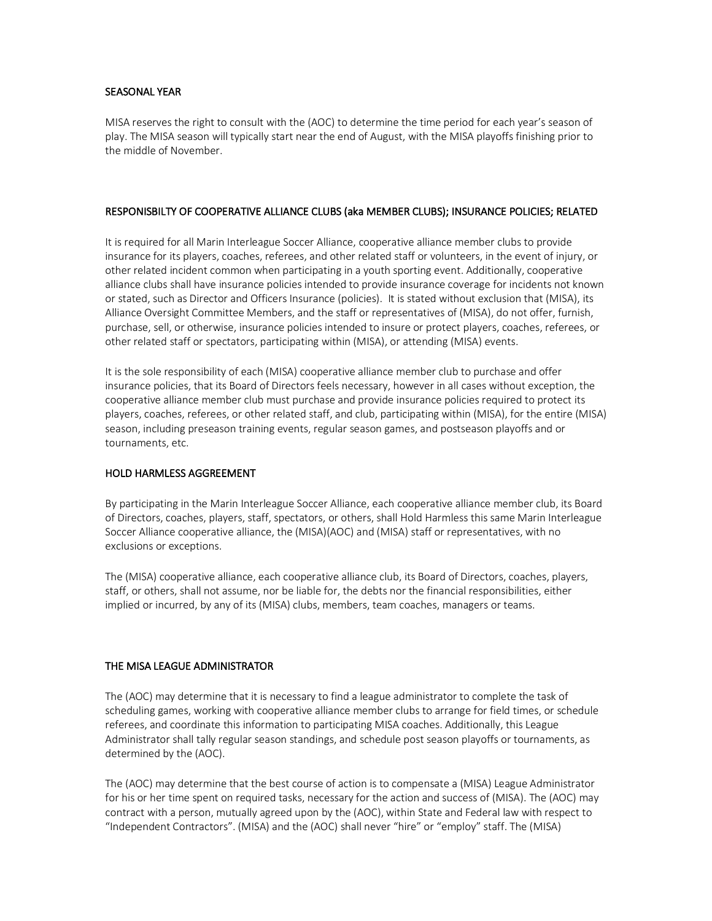#### SEASONAL YEAR

MISA reserves the right to consult with the (AOC) to determine the time period for each year's season of play. The MISA season will typically start near the end of August, with the MISA playoffs finishing prior to the middle of November.

#### RESPONISBILTY OF COOPERATIVE ALLIANCE CLUBS (aka MEMBER CLUBS); INSURANCE POLICIES; RELATED

It is required for all Marin Interleague Soccer Alliance, cooperative alliance member clubs to provide insurance for its players, coaches, referees, and other related staff or volunteers, in the event of injury, or other related incident common when participating in a youth sporting event. Additionally, cooperative alliance clubs shall have insurance policies intended to provide insurance coverage for incidents not known or stated, such as Director and Officers Insurance (policies). It is stated without exclusion that (MISA), its Alliance Oversight Committee Members, and the staff or representatives of (MISA), do not offer, furnish, purchase, sell, or otherwise, insurance policies intended to insure or protect players, coaches, referees, or other related staff or spectators, participating within (MISA), or attending (MISA) events.

It is the sole responsibility of each (MISA) cooperative alliance member club to purchase and offer insurance policies, that its Board of Directors feels necessary, however in all cases without exception, the cooperative alliance member club must purchase and provide insurance policies required to protect its players, coaches, referees, or other related staff, and club, participating within (MISA), for the entire (MISA) season, including preseason training events, regular season games, and postseason playoffs and or tournaments, etc.

#### HOLD HARMLESS AGGREEMENT

By participating in the Marin Interleague Soccer Alliance, each cooperative alliance member club, its Board of Directors, coaches, players, staff, spectators, or others, shall Hold Harmless this same Marin Interleague Soccer Alliance cooperative alliance, the (MISA)(AOC) and (MISA) staff or representatives, with no exclusions or exceptions.

The (MISA) cooperative alliance, each cooperative alliance club, its Board of Directors, coaches, players, staff, or others, shall not assume, nor be liable for, the debts nor the financial responsibilities, either implied or incurred, by any of its (MISA) clubs, members, team coaches, managers or teams.

#### THE MISA LEAGUE ADMINISTRATOR

The (AOC) may determine that it is necessary to find a league administrator to complete the task of scheduling games, working with cooperative alliance member clubs to arrange for field times, or schedule referees, and coordinate this information to participating MISA coaches. Additionally, this League Administrator shall tally regular season standings, and schedule post season playoffs or tournaments, as determined by the (AOC).

The (AOC) may determine that the best course of action is to compensate a (MISA) League Administrator for his or her time spent on required tasks, necessary for the action and success of (MISA). The (AOC) may contract with a person, mutually agreed upon by the (AOC), within State and Federal law with respect to "Independent Contractors". (MISA) and the (AOC) shall never "hire" or "employ" staff. The (MISA)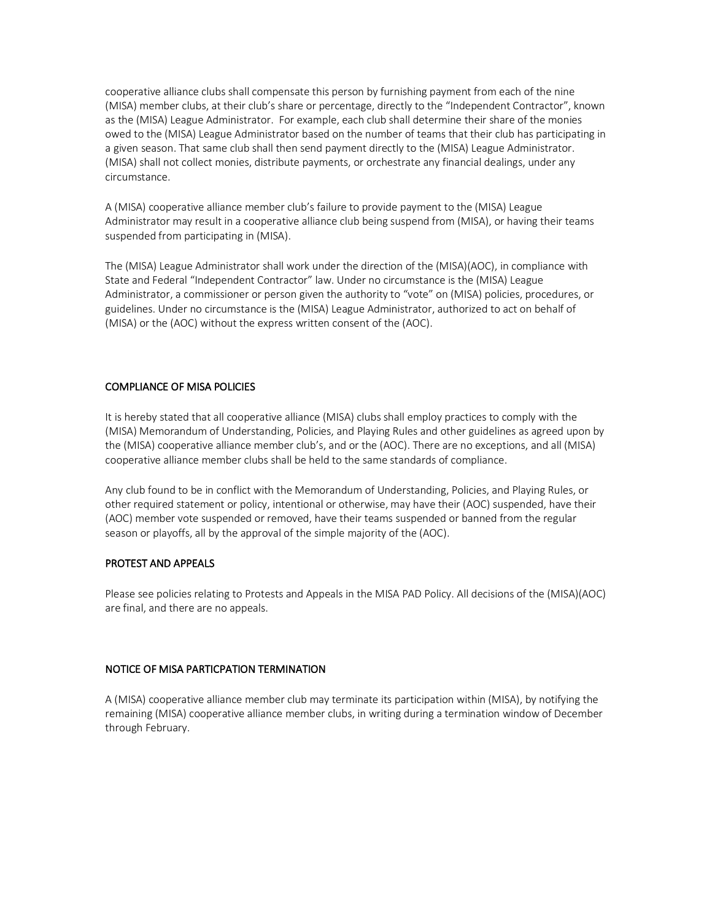cooperative alliance clubs shall compensate this person by furnishing payment from each of the nine (MISA) member clubs, at their club's share or percentage, directly to the "Independent Contractor", known as the (MISA) League Administrator. For example, each club shall determine their share of the monies owed to the (MISA) League Administrator based on the number of teams that their club has participating in a given season. That same club shall then send payment directly to the (MISA) League Administrator. (MISA) shall not collect monies, distribute payments, or orchestrate any financial dealings, under any circumstance.

A (MISA) cooperative alliance member club's failure to provide payment to the (MISA) League Administrator may result in a cooperative alliance club being suspend from (MISA), or having their teams suspended from participating in (MISA).

The (MISA) League Administrator shall work under the direction of the (MISA)(AOC), in compliance with State and Federal "Independent Contractor" law. Under no circumstance is the (MISA) League Administrator, a commissioner or person given the authority to "vote" on (MISA) policies, procedures, or guidelines. Under no circumstance is the (MISA) League Administrator, authorized to act on behalf of (MISA) or the (AOC) without the express written consent of the (AOC).

#### COMPLIANCE OF MISA POLICIES

It is hereby stated that all cooperative alliance (MISA) clubs shall employ practices to comply with the (MISA) Memorandum of Understanding, Policies, and Playing Rules and other guidelines as agreed upon by the (MISA) cooperative alliance member club's, and or the (AOC). There are no exceptions, and all (MISA) cooperative alliance member clubs shall be held to the same standards of compliance.

Any club found to be in conflict with the Memorandum of Understanding, Policies, and Playing Rules, or other required statement or policy, intentional or otherwise, may have their (AOC) suspended, have their (AOC) member vote suspended or removed, have their teams suspended or banned from the regular season or playoffs, all by the approval of the simple majority of the (AOC).

#### PROTEST AND APPEALS

Please see policies relating to Protests and Appeals in the MISA PAD Policy. All decisions of the (MISA)(AOC) are final, and there are no appeals.

#### NOTICE OF MISA PARTICPATION TERMINATION

A (MISA) cooperative alliance member club may terminate its participation within (MISA), by notifying the remaining (MISA) cooperative alliance member clubs, in writing during a termination window of December through February.